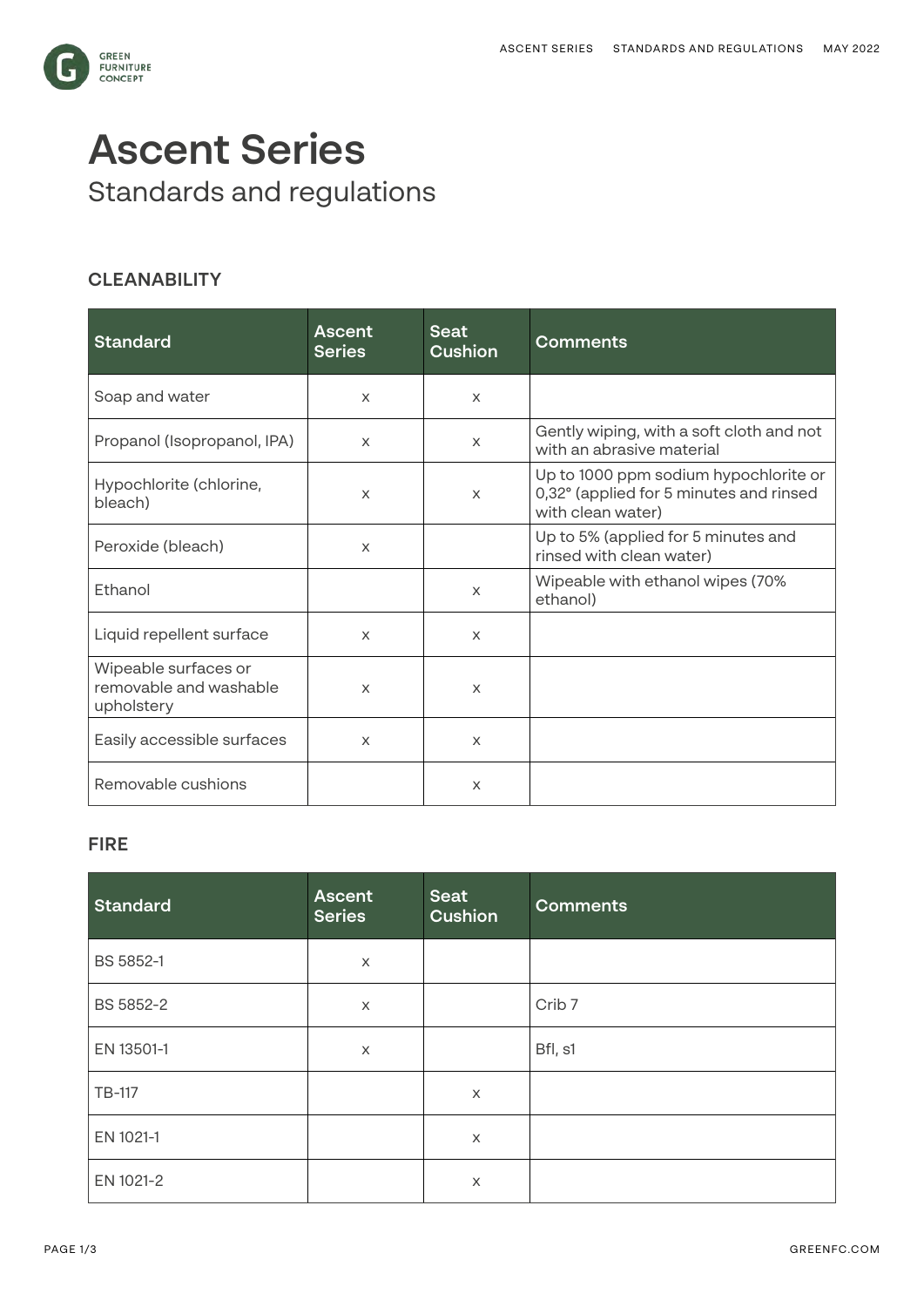

# **Ascent Series**  Standards and regulations

# **CLEANABILITY**

| <b>Standard</b>                                              | <b>Ascent</b><br><b>Series</b> | <b>Seat</b><br><b>Cushion</b> | <b>Comments</b>                                                                                       |
|--------------------------------------------------------------|--------------------------------|-------------------------------|-------------------------------------------------------------------------------------------------------|
| Soap and water                                               | $\times$                       | $\times$                      |                                                                                                       |
| Propanol (Isopropanol, IPA)                                  | $\times$                       | $\times$                      | Gently wiping, with a soft cloth and not<br>with an abrasive material                                 |
| Hypochlorite (chlorine,<br>bleach)                           | X                              | $\times$                      | Up to 1000 ppm sodium hypochlorite or<br>0,32° (applied for 5 minutes and rinsed<br>with clean water) |
| Peroxide (bleach)                                            | X                              |                               | Up to 5% (applied for 5 minutes and<br>rinsed with clean water)                                       |
| Ethanol                                                      |                                | X                             | Wipeable with ethanol wipes (70%<br>ethanol)                                                          |
| Liquid repellent surface                                     | $\times$                       | $\times$                      |                                                                                                       |
| Wipeable surfaces or<br>removable and washable<br>upholstery | $\mathsf{x}$                   | $\times$                      |                                                                                                       |
| Easily accessible surfaces                                   | $\times$                       | $\times$                      |                                                                                                       |
| Removable cushions                                           |                                | X                             |                                                                                                       |

# **FIRE**

| <b>Standard</b> | <b>Ascent</b><br><b>Series</b> | Seat<br>Cushion | <b>Comments</b>   |
|-----------------|--------------------------------|-----------------|-------------------|
| BS 5852-1       | $\times$                       |                 |                   |
| BS 5852-2       | X                              |                 | Crib <sub>7</sub> |
| EN 13501-1      | X                              |                 | Bfl, s1           |
| TB-117          |                                | X               |                   |
| EN 1021-1       |                                | X               |                   |
| EN 1021-2       |                                | X               |                   |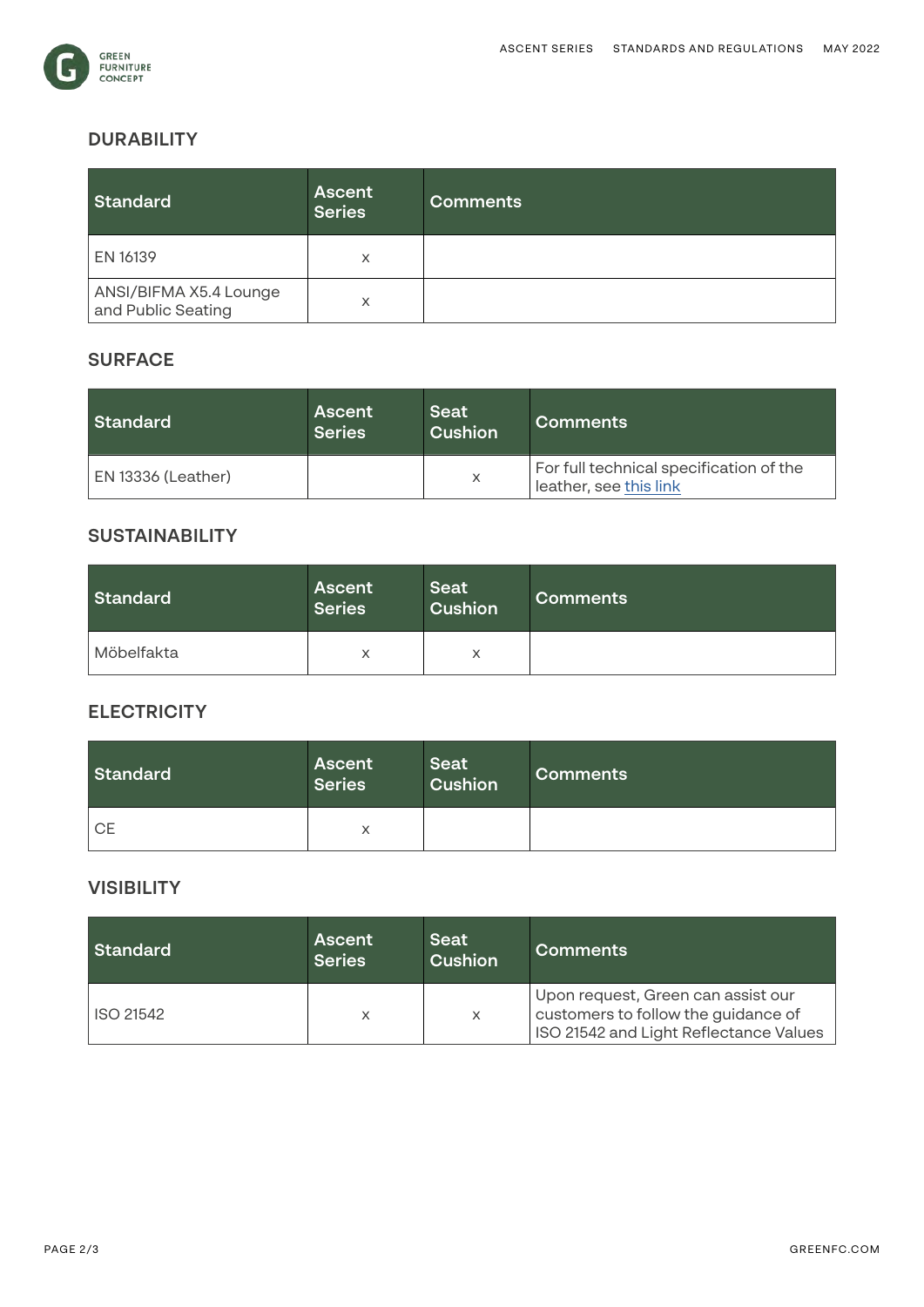

## **DURABILITY**

| Standard                                     | <b>Ascent</b><br><b>Series</b> | <b>Comments</b> |
|----------------------------------------------|--------------------------------|-----------------|
| EN 16139                                     | X                              |                 |
| ANSI/BIFMA X5.4 Lounge<br>and Public Seating | X                              |                 |

#### **SURFACE**

| <b>Standard</b>           | Ascent<br><b>Series</b> | Seat<br>Cushion | Comments                                                          |
|---------------------------|-------------------------|-----------------|-------------------------------------------------------------------|
| <b>EN 13336 (Leather)</b> |                         | X               | For full technical specification of the<br>leather, see this link |

## **SUSTAINABILITY**

| Standard   | <b>Ascent</b><br><b>Series</b> | <b>Seat</b><br>Cushion | <b>Comments</b> |
|------------|--------------------------------|------------------------|-----------------|
| Möbelfakta | v                              | $\checkmark$<br>∧      |                 |

## **ELECTRICITY**

| Standard  | <b>Ascent</b><br><b>Series</b> | <b>Seat</b><br>Cushion | <b>Comments</b> |
|-----------|--------------------------------|------------------------|-----------------|
| <b>CE</b> | X                              |                        |                 |

## **VISIBILITY**

| Standard  | <b>Ascent</b><br><b>Series</b> | Seat<br><b>Cushion</b> | <b>Comments</b>                                                                                                     |
|-----------|--------------------------------|------------------------|---------------------------------------------------------------------------------------------------------------------|
| ISO 21542 | X                              | X                      | Upon request, Green can assist our<br>customers to follow the guidance of<br>ISO 21542 and Light Reflectance Values |